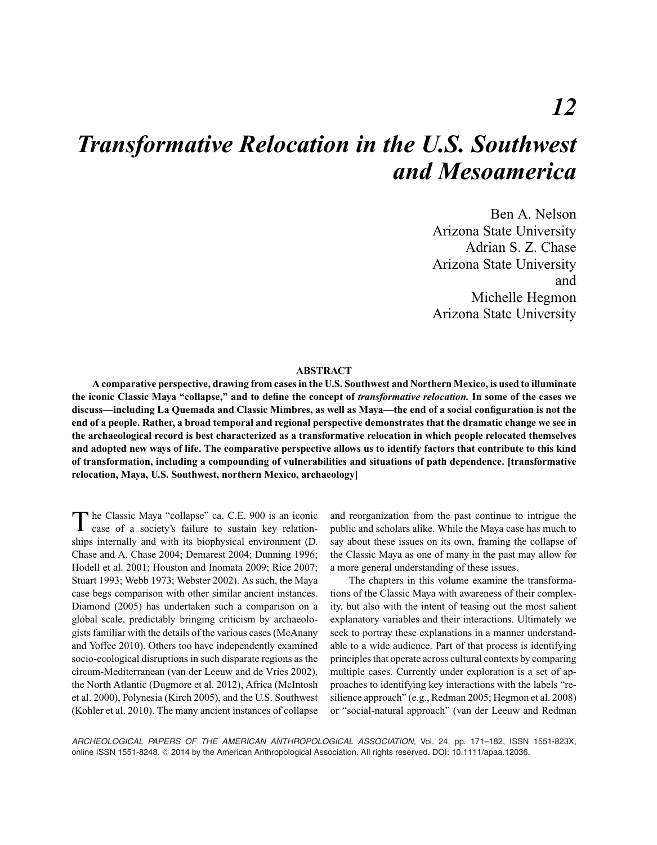# *Transformative Relocation in the U.S. Southwest and Mesoamerica*

Ben A. Nelson Arizona State University Adrian S. Z. Chase Arizona State University and Michelle Hegmon Arizona State University

#### **ABSTRACT**

**A comparative perspective, drawing from cases in the U.S. Southwest and Northern Mexico, is used to illuminate the iconic Classic Maya "collapse," and to define the concept of** *transformative relocation.* **In some of the cases we discuss—including La Quemada and Classic Mimbres, as well as Maya—the end of a social configuration is not the end of a people. Rather, a broad temporal and regional perspective demonstrates that the dramatic change we see in the archaeological record is best characterized as a transformative relocation in which people relocated themselves and adopted new ways of life. The comparative perspective allows us to identify factors that contribute to this kind of transformation, including a compounding of vulnerabilities and situations of path dependence. [transformative relocation, Maya, U.S. Southwest, northern Mexico, archaeology]**

The Classic Maya "collapse" ca. C.E. 900 is an iconic<br>case of a society's failure to sustain key relationships internally and with its biophysical environment (D. Chase and A. Chase 2004; Demarest 2004; Dunning 1996; Hodell et al. 2001; Houston and Inomata 2009; Rice 2007; Stuart 1993; Webb 1973; Webster 2002). As such, the Maya case begs comparison with other similar ancient instances. Diamond (2005) has undertaken such a comparison on a global scale, predictably bringing criticism by archaeologists familiar with the details of the various cases (McAnany and Yoffee 2010). Others too have independently examined socio-ecological disruptions in such disparate regions as the circum-Mediterranean (van der Leeuw and de Vries 2002), the North Atlantic (Dugmore et al. 2012), Africa (McIntosh et al. 2000), Polynesia (Kirch 2005), and the U.S. Southwest (Kohler et al. 2010). The many ancient instances of collapse and reorganization from the past continue to intrigue the public and scholars alike. While the Maya case has much to say about these issues on its own, framing the collapse of the Classic Maya as one of many in the past may allow for a more general understanding of these issues.

The chapters in this volume examine the transformations of the Classic Maya with awareness of their complexity, but also with the intent of teasing out the most salient explanatory variables and their interactions. Ultimately we seek to portray these explanations in a manner understandable to a wide audience. Part of that process is identifying principles that operate across cultural contexts by comparing multiple cases. Currently under exploration is a set of approaches to identifying key interactions with the labels "resilience approach" (e.g., Redman 2005; Hegmon et al. 2008) or "social-natural approach" (van der Leeuw and Redman

*ARCHEOLOGICAL PAPERS OF THE AMERICAN ANTHROPOLOGICAL ASSOCIATION*, Vol. 24, pp. 171–182, ISSN 1551-823X, online ISSN 1551-8248. © 2014 by the American Anthropological Association. All rights reserved. DOI: 10.1111/apaa.12036.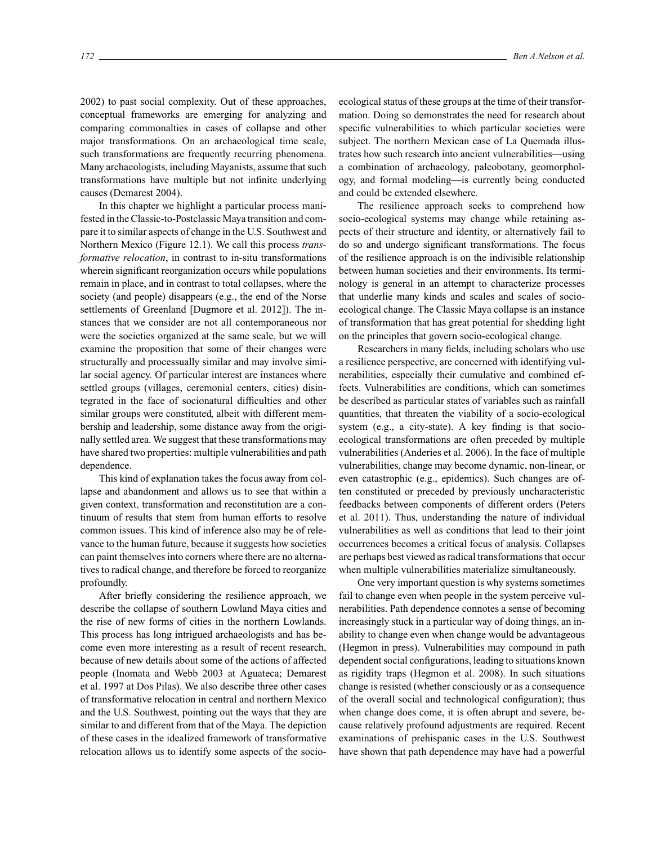2002) to past social complexity. Out of these approaches, conceptual frameworks are emerging for analyzing and comparing commonalties in cases of collapse and other major transformations. On an archaeological time scale, such transformations are frequently recurring phenomena. Many archaeologists, including Mayanists, assume that such transformations have multiple but not infinite underlying causes (Demarest 2004).

In this chapter we highlight a particular process manifested in the Classic-to-Postclassic Maya transition and compare it to similar aspects of change in the U.S. Southwest and Northern Mexico (Figure 12.1). We call this process *transformative relocation*, in contrast to in-situ transformations wherein significant reorganization occurs while populations remain in place, and in contrast to total collapses, where the society (and people) disappears (e.g., the end of the Norse settlements of Greenland [Dugmore et al. 2012]). The instances that we consider are not all contemporaneous nor were the societies organized at the same scale, but we will examine the proposition that some of their changes were structurally and processually similar and may involve similar social agency. Of particular interest are instances where settled groups (villages, ceremonial centers, cities) disintegrated in the face of socionatural difficulties and other similar groups were constituted, albeit with different membership and leadership, some distance away from the originally settled area. We suggest that these transformations may have shared two properties: multiple vulnerabilities and path dependence.

This kind of explanation takes the focus away from collapse and abandonment and allows us to see that within a given context, transformation and reconstitution are a continuum of results that stem from human efforts to resolve common issues. This kind of inference also may be of relevance to the human future, because it suggests how societies can paint themselves into corners where there are no alternatives to radical change, and therefore be forced to reorganize profoundly.

After briefly considering the resilience approach, we describe the collapse of southern Lowland Maya cities and the rise of new forms of cities in the northern Lowlands. This process has long intrigued archaeologists and has become even more interesting as a result of recent research, because of new details about some of the actions of affected people (Inomata and Webb 2003 at Aguateca; Demarest et al. 1997 at Dos Pilas). We also describe three other cases of transformative relocation in central and northern Mexico and the U.S. Southwest, pointing out the ways that they are similar to and different from that of the Maya. The depiction of these cases in the idealized framework of transformative relocation allows us to identify some aspects of the socio-

ecological status of these groups at the time of their transformation. Doing so demonstrates the need for research about specific vulnerabilities to which particular societies were subject. The northern Mexican case of La Quemada illustrates how such research into ancient vulnerabilities—using a combination of archaeology, paleobotany, geomorphology, and formal modeling—is currently being conducted and could be extended elsewhere.

The resilience approach seeks to comprehend how socio-ecological systems may change while retaining aspects of their structure and identity, or alternatively fail to do so and undergo significant transformations. The focus of the resilience approach is on the indivisible relationship between human societies and their environments. Its terminology is general in an attempt to characterize processes that underlie many kinds and scales and scales of socioecological change. The Classic Maya collapse is an instance of transformation that has great potential for shedding light on the principles that govern socio-ecological change.

Researchers in many fields, including scholars who use a resilience perspective, are concerned with identifying vulnerabilities, especially their cumulative and combined effects. Vulnerabilities are conditions, which can sometimes be described as particular states of variables such as rainfall quantities, that threaten the viability of a socio-ecological system (e.g., a city-state). A key finding is that socioecological transformations are often preceded by multiple vulnerabilities (Anderies et al. 2006). In the face of multiple vulnerabilities, change may become dynamic, non-linear, or even catastrophic (e.g., epidemics). Such changes are often constituted or preceded by previously uncharacteristic feedbacks between components of different orders (Peters et al. 2011). Thus, understanding the nature of individual vulnerabilities as well as conditions that lead to their joint occurrences becomes a critical focus of analysis. Collapses are perhaps best viewed as radical transformations that occur when multiple vulnerabilities materialize simultaneously.

One very important question is why systems sometimes fail to change even when people in the system perceive vulnerabilities. Path dependence connotes a sense of becoming increasingly stuck in a particular way of doing things, an inability to change even when change would be advantageous (Hegmon in press). Vulnerabilities may compound in path dependent social configurations, leading to situations known as rigidity traps (Hegmon et al. 2008). In such situations change is resisted (whether consciously or as a consequence of the overall social and technological configuration); thus when change does come, it is often abrupt and severe, because relatively profound adjustments are required. Recent examinations of prehispanic cases in the U.S. Southwest have shown that path dependence may have had a powerful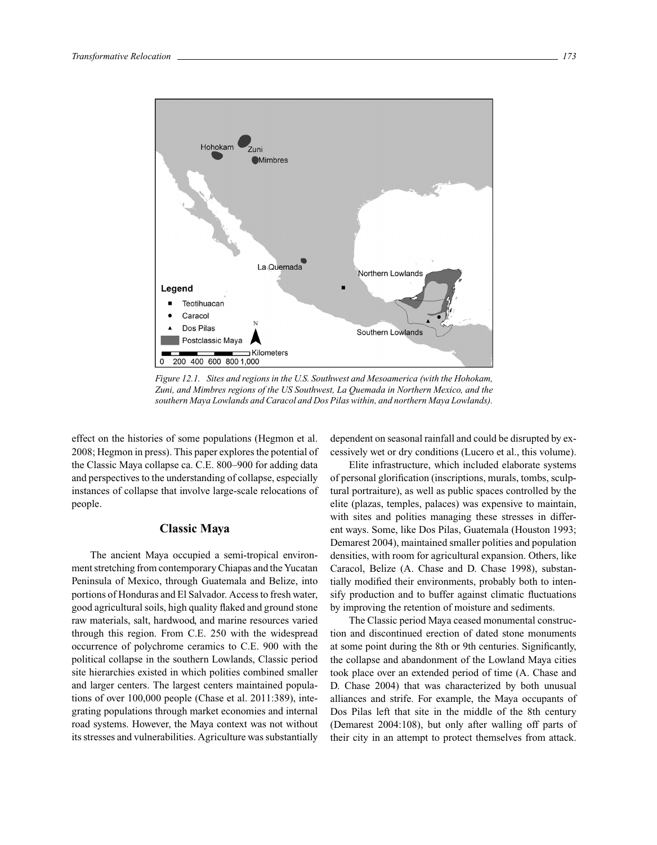

*Figure 12.1. Sites and regions in the U.S. Southwest and Mesoamerica (with the Hohokam, Zuni, and Mimbres regions of the US Southwest, La Quemada in Northern Mexico, and the southern Maya Lowlands and Caracol and Dos Pilas within, and northern Maya Lowlands).*

effect on the histories of some populations (Hegmon et al. 2008; Hegmon in press). This paper explores the potential of the Classic Maya collapse ca. C.E. 800–900 for adding data and perspectives to the understanding of collapse, especially instances of collapse that involve large-scale relocations of people.

## **Classic Maya**

The ancient Maya occupied a semi-tropical environment stretching from contemporary Chiapas and the Yucatan Peninsula of Mexico, through Guatemala and Belize, into portions of Honduras and El Salvador. Access to fresh water, good agricultural soils, high quality flaked and ground stone raw materials, salt, hardwood, and marine resources varied through this region. From C.E. 250 with the widespread occurrence of polychrome ceramics to C.E. 900 with the political collapse in the southern Lowlands, Classic period site hierarchies existed in which polities combined smaller and larger centers. The largest centers maintained populations of over 100,000 people (Chase et al. 2011:389), integrating populations through market economies and internal road systems. However, the Maya context was not without its stresses and vulnerabilities. Agriculture was substantially

dependent on seasonal rainfall and could be disrupted by excessively wet or dry conditions (Lucero et al., this volume).

Elite infrastructure, which included elaborate systems of personal glorification (inscriptions, murals, tombs, sculptural portraiture), as well as public spaces controlled by the elite (plazas, temples, palaces) was expensive to maintain, with sites and polities managing these stresses in different ways. Some, like Dos Pilas, Guatemala (Houston 1993; Demarest 2004), maintained smaller polities and population densities, with room for agricultural expansion. Others, like Caracol, Belize (A. Chase and D. Chase 1998), substantially modified their environments, probably both to intensify production and to buffer against climatic fluctuations by improving the retention of moisture and sediments.

The Classic period Maya ceased monumental construction and discontinued erection of dated stone monuments at some point during the 8th or 9th centuries. Significantly, the collapse and abandonment of the Lowland Maya cities took place over an extended period of time (A. Chase and D. Chase 2004) that was characterized by both unusual alliances and strife. For example, the Maya occupants of Dos Pilas left that site in the middle of the 8th century (Demarest 2004:108), but only after walling off parts of their city in an attempt to protect themselves from attack.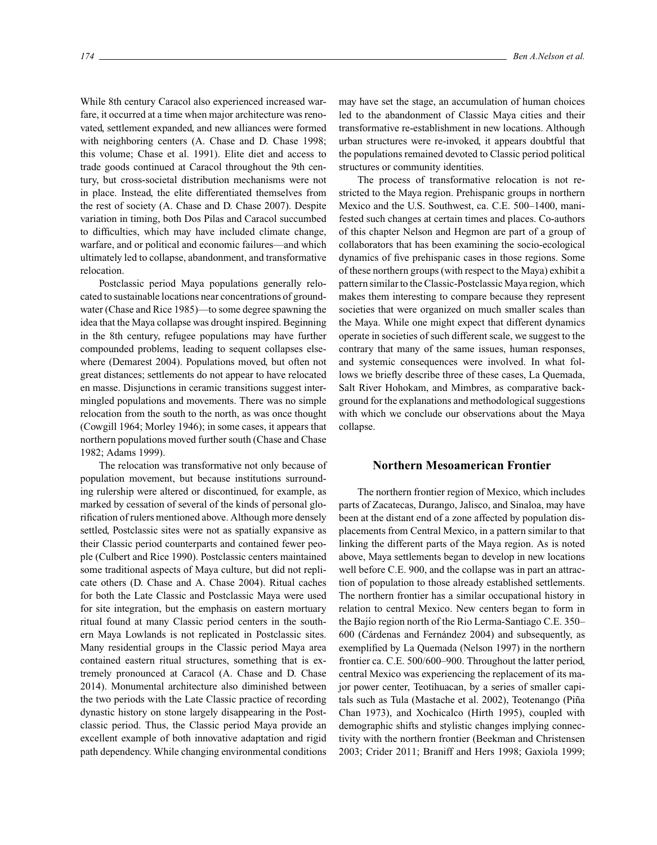While 8th century Caracol also experienced increased warfare, it occurred at a time when major architecture was renovated, settlement expanded, and new alliances were formed with neighboring centers (A. Chase and D. Chase 1998; this volume; Chase et al. 1991). Elite diet and access to trade goods continued at Caracol throughout the 9th century, but cross-societal distribution mechanisms were not in place. Instead, the elite differentiated themselves from the rest of society (A. Chase and D. Chase 2007). Despite variation in timing, both Dos Pilas and Caracol succumbed to difficulties, which may have included climate change, warfare, and or political and economic failures—and which ultimately led to collapse, abandonment, and transformative relocation.

Postclassic period Maya populations generally relocated to sustainable locations near concentrations of groundwater (Chase and Rice 1985)—to some degree spawning the idea that the Maya collapse was drought inspired. Beginning in the 8th century, refugee populations may have further compounded problems, leading to sequent collapses elsewhere (Demarest 2004). Populations moved, but often not great distances; settlements do not appear to have relocated en masse. Disjunctions in ceramic transitions suggest intermingled populations and movements. There was no simple relocation from the south to the north, as was once thought (Cowgill 1964; Morley 1946); in some cases, it appears that northern populations moved further south (Chase and Chase 1982; Adams 1999).

The relocation was transformative not only because of population movement, but because institutions surrounding rulership were altered or discontinued, for example, as marked by cessation of several of the kinds of personal glorification of rulers mentioned above. Although more densely settled, Postclassic sites were not as spatially expansive as their Classic period counterparts and contained fewer people (Culbert and Rice 1990). Postclassic centers maintained some traditional aspects of Maya culture, but did not replicate others (D. Chase and A. Chase 2004). Ritual caches for both the Late Classic and Postclassic Maya were used for site integration, but the emphasis on eastern mortuary ritual found at many Classic period centers in the southern Maya Lowlands is not replicated in Postclassic sites. Many residential groups in the Classic period Maya area contained eastern ritual structures, something that is extremely pronounced at Caracol (A. Chase and D. Chase 2014). Monumental architecture also diminished between the two periods with the Late Classic practice of recording dynastic history on stone largely disappearing in the Postclassic period. Thus, the Classic period Maya provide an excellent example of both innovative adaptation and rigid path dependency. While changing environmental conditions

may have set the stage, an accumulation of human choices led to the abandonment of Classic Maya cities and their transformative re-establishment in new locations. Although urban structures were re-invoked, it appears doubtful that the populations remained devoted to Classic period political structures or community identities.

The process of transformative relocation is not restricted to the Maya region. Prehispanic groups in northern Mexico and the U.S. Southwest, ca. C.E. 500–1400, manifested such changes at certain times and places. Co-authors of this chapter Nelson and Hegmon are part of a group of collaborators that has been examining the socio-ecological dynamics of five prehispanic cases in those regions. Some of these northern groups (with respect to the Maya) exhibit a pattern similar to the Classic-Postclassic Maya region, which makes them interesting to compare because they represent societies that were organized on much smaller scales than the Maya. While one might expect that different dynamics operate in societies of such different scale, we suggest to the contrary that many of the same issues, human responses, and systemic consequences were involved. In what follows we briefly describe three of these cases, La Quemada, Salt River Hohokam, and Mimbres, as comparative background for the explanations and methodological suggestions with which we conclude our observations about the Maya collapse.

#### **Northern Mesoamerican Frontier**

The northern frontier region of Mexico, which includes parts of Zacatecas, Durango, Jalisco, and Sinaloa, may have been at the distant end of a zone affected by population displacements from Central Mexico, in a pattern similar to that linking the different parts of the Maya region. As is noted above, Maya settlements began to develop in new locations well before C.E. 900, and the collapse was in part an attraction of population to those already established settlements. The northern frontier has a similar occupational history in relation to central Mexico. New centers began to form in the Bajio region north of the Rio Lerma-Santiago C.E. 350– 600 (Cárdenas and Fernández 2004) and subsequently, as exemplified by La Quemada (Nelson 1997) in the northern frontier ca. C.E. 500/600–900. Throughout the latter period, central Mexico was experiencing the replacement of its major power center, Teotihuacan, by a series of smaller capitals such as Tula (Mastache et al. 2002), Teotenango (Piña Chan 1973), and Xochicalco (Hirth 1995), coupled with demographic shifts and stylistic changes implying connectivity with the northern frontier (Beekman and Christensen 2003; Crider 2011; Braniff and Hers 1998; Gaxiola 1999;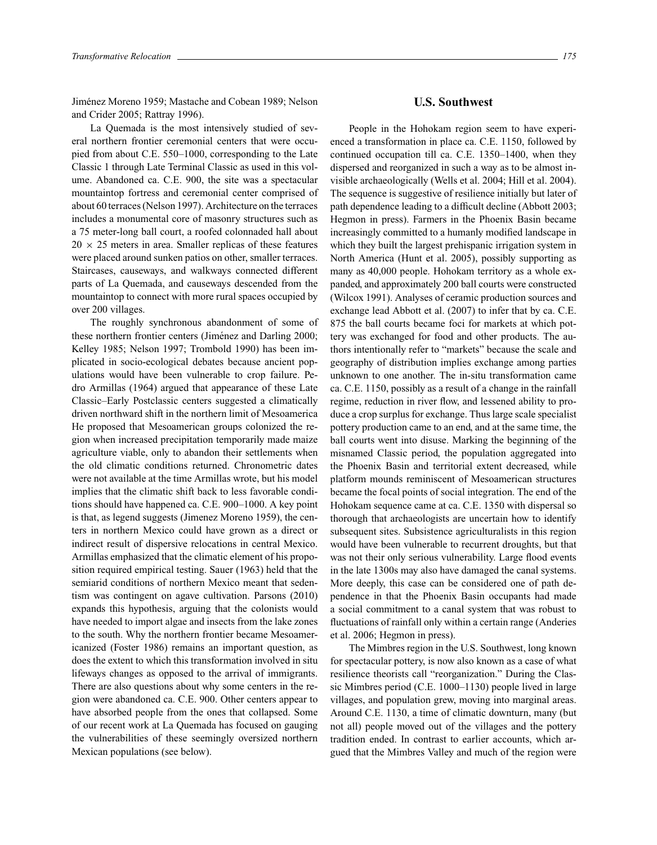Jiménez Moreno 1959; Mastache and Cobean 1989; Nelson and Crider 2005; Rattray 1996).

La Quemada is the most intensively studied of several northern frontier ceremonial centers that were occupied from about C.E. 550–1000, corresponding to the Late Classic 1 through Late Terminal Classic as used in this volume. Abandoned ca. C.E. 900, the site was a spectacular mountaintop fortress and ceremonial center comprised of about 60 terraces (Nelson 1997). Architecture on the terraces includes a monumental core of masonry structures such as a 75 meter-long ball court, a roofed colonnaded hall about  $20 \times 25$  meters in area. Smaller replicas of these features were placed around sunken patios on other, smaller terraces. Staircases, causeways, and walkways connected different parts of La Quemada, and causeways descended from the mountaintop to connect with more rural spaces occupied by over 200 villages.

The roughly synchronous abandonment of some of these northern frontier centers (Jiménez and Darling 2000; Kelley 1985; Nelson 1997; Trombold 1990) has been implicated in socio-ecological debates because ancient populations would have been vulnerable to crop failure. Pedro Armillas (1964) argued that appearance of these Late Classic–Early Postclassic centers suggested a climatically driven northward shift in the northern limit of Mesoamerica He proposed that Mesoamerican groups colonized the region when increased precipitation temporarily made maize agriculture viable, only to abandon their settlements when the old climatic conditions returned. Chronometric dates were not available at the time Armillas wrote, but his model implies that the climatic shift back to less favorable conditions should have happened ca. C.E. 900–1000. A key point is that, as legend suggests (Jimenez Moreno 1959), the centers in northern Mexico could have grown as a direct or indirect result of dispersive relocations in central Mexico. Armillas emphasized that the climatic element of his proposition required empirical testing. Sauer (1963) held that the semiarid conditions of northern Mexico meant that sedentism was contingent on agave cultivation. Parsons (2010) expands this hypothesis, arguing that the colonists would have needed to import algae and insects from the lake zones to the south. Why the northern frontier became Mesoamericanized (Foster 1986) remains an important question, as does the extent to which this transformation involved in situ lifeways changes as opposed to the arrival of immigrants. There are also questions about why some centers in the region were abandoned ca. C.E. 900. Other centers appear to have absorbed people from the ones that collapsed. Some of our recent work at La Quemada has focused on gauging the vulnerabilities of these seemingly oversized northern Mexican populations (see below).

#### **U.S. Southwest**

People in the Hohokam region seem to have experienced a transformation in place ca. C.E. 1150, followed by continued occupation till ca. C.E. 1350–1400, when they dispersed and reorganized in such a way as to be almost invisible archaeologically (Wells et al. 2004; Hill et al. 2004). The sequence is suggestive of resilience initially but later of path dependence leading to a difficult decline (Abbott 2003; Hegmon in press). Farmers in the Phoenix Basin became increasingly committed to a humanly modified landscape in which they built the largest prehispanic irrigation system in North America (Hunt et al. 2005), possibly supporting as many as 40,000 people. Hohokam territory as a whole expanded, and approximately 200 ball courts were constructed (Wilcox 1991). Analyses of ceramic production sources and exchange lead Abbott et al. (2007) to infer that by ca. C.E. 875 the ball courts became foci for markets at which pottery was exchanged for food and other products. The authors intentionally refer to "markets" because the scale and geography of distribution implies exchange among parties unknown to one another. The in-situ transformation came ca. C.E. 1150, possibly as a result of a change in the rainfall regime, reduction in river flow, and lessened ability to produce a crop surplus for exchange. Thus large scale specialist pottery production came to an end, and at the same time, the ball courts went into disuse. Marking the beginning of the misnamed Classic period, the population aggregated into the Phoenix Basin and territorial extent decreased, while platform mounds reminiscent of Mesoamerican structures became the focal points of social integration. The end of the Hohokam sequence came at ca. C.E. 1350 with dispersal so thorough that archaeologists are uncertain how to identify subsequent sites. Subsistence agriculturalists in this region would have been vulnerable to recurrent droughts, but that was not their only serious vulnerability. Large flood events in the late 1300s may also have damaged the canal systems. More deeply, this case can be considered one of path dependence in that the Phoenix Basin occupants had made a social commitment to a canal system that was robust to fluctuations of rainfall only within a certain range (Anderies et al. 2006; Hegmon in press).

The Mimbres region in the U.S. Southwest, long known for spectacular pottery, is now also known as a case of what resilience theorists call "reorganization." During the Classic Mimbres period (C.E. 1000–1130) people lived in large villages, and population grew, moving into marginal areas. Around C.E. 1130, a time of climatic downturn, many (but not all) people moved out of the villages and the pottery tradition ended. In contrast to earlier accounts, which argued that the Mimbres Valley and much of the region were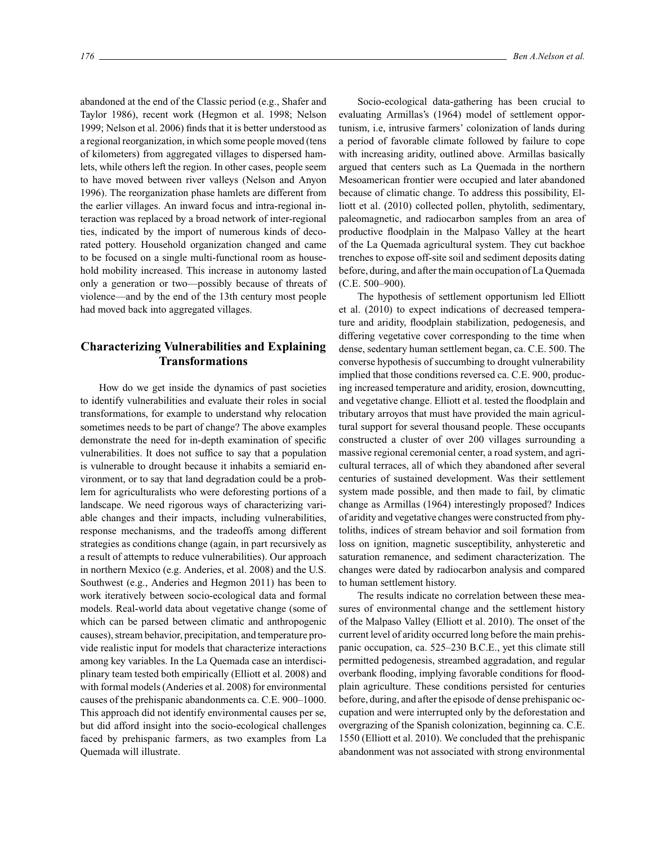abandoned at the end of the Classic period (e.g., Shafer and Taylor 1986), recent work (Hegmon et al. 1998; Nelson 1999; Nelson et al. 2006) finds that it is better understood as a regional reorganization, in which some people moved (tens of kilometers) from aggregated villages to dispersed hamlets, while others left the region. In other cases, people seem to have moved between river valleys (Nelson and Anyon 1996). The reorganization phase hamlets are different from the earlier villages. An inward focus and intra-regional interaction was replaced by a broad network of inter-regional ties, indicated by the import of numerous kinds of decorated pottery. Household organization changed and came to be focused on a single multi-functional room as household mobility increased. This increase in autonomy lasted only a generation or two—possibly because of threats of violence—and by the end of the 13th century most people had moved back into aggregated villages.

## **Characterizing Vulnerabilities and Explaining Transformations**

How do we get inside the dynamics of past societies to identify vulnerabilities and evaluate their roles in social transformations, for example to understand why relocation sometimes needs to be part of change? The above examples demonstrate the need for in-depth examination of specific vulnerabilities. It does not suffice to say that a population is vulnerable to drought because it inhabits a semiarid environment, or to say that land degradation could be a problem for agriculturalists who were deforesting portions of a landscape. We need rigorous ways of characterizing variable changes and their impacts, including vulnerabilities, response mechanisms, and the tradeoffs among different strategies as conditions change (again, in part recursively as a result of attempts to reduce vulnerabilities). Our approach in northern Mexico (e.g. Anderies, et al. 2008) and the U.S. Southwest (e.g., Anderies and Hegmon 2011) has been to work iteratively between socio-ecological data and formal models. Real-world data about vegetative change (some of which can be parsed between climatic and anthropogenic causes), stream behavior, precipitation, and temperature provide realistic input for models that characterize interactions among key variables. In the La Quemada case an interdisciplinary team tested both empirically (Elliott et al. 2008) and with formal models (Anderies et al. 2008) for environmental causes of the prehispanic abandonments ca. C.E. 900–1000. This approach did not identify environmental causes per se, but did afford insight into the socio-ecological challenges faced by prehispanic farmers, as two examples from La Quemada will illustrate.

Socio-ecological data-gathering has been crucial to evaluating Armillas's (1964) model of settlement opportunism, i.e, intrusive farmers' colonization of lands during a period of favorable climate followed by failure to cope with increasing aridity, outlined above. Armillas basically argued that centers such as La Quemada in the northern Mesoamerican frontier were occupied and later abandoned because of climatic change. To address this possibility, Elliott et al. (2010) collected pollen, phytolith, sedimentary, paleomagnetic, and radiocarbon samples from an area of productive floodplain in the Malpaso Valley at the heart of the La Quemada agricultural system. They cut backhoe trenches to expose off-site soil and sediment deposits dating before, during, and after the main occupation of La Quemada (C.E. 500–900).

The hypothesis of settlement opportunism led Elliott et al. (2010) to expect indications of decreased temperature and aridity, floodplain stabilization, pedogenesis, and differing vegetative cover corresponding to the time when dense, sedentary human settlement began, ca. C.E. 500. The converse hypothesis of succumbing to drought vulnerability implied that those conditions reversed ca. C.E. 900, producing increased temperature and aridity, erosion, downcutting, and vegetative change. Elliott et al. tested the floodplain and tributary arroyos that must have provided the main agricultural support for several thousand people. These occupants constructed a cluster of over 200 villages surrounding a massive regional ceremonial center, a road system, and agricultural terraces, all of which they abandoned after several centuries of sustained development. Was their settlement system made possible, and then made to fail, by climatic change as Armillas (1964) interestingly proposed? Indices of aridity and vegetative changes were constructed from phytoliths, indices of stream behavior and soil formation from loss on ignition, magnetic susceptibility, anhysteretic and saturation remanence, and sediment characterization. The changes were dated by radiocarbon analysis and compared to human settlement history.

The results indicate no correlation between these measures of environmental change and the settlement history of the Malpaso Valley (Elliott et al. 2010). The onset of the current level of aridity occurred long before the main prehispanic occupation, ca. 525–230 B.C.E., yet this climate still permitted pedogenesis, streambed aggradation, and regular overbank flooding, implying favorable conditions for floodplain agriculture. These conditions persisted for centuries before, during, and after the episode of dense prehispanic occupation and were interrupted only by the deforestation and overgrazing of the Spanish colonization, beginning ca. C.E. 1550 (Elliott et al. 2010). We concluded that the prehispanic abandonment was not associated with strong environmental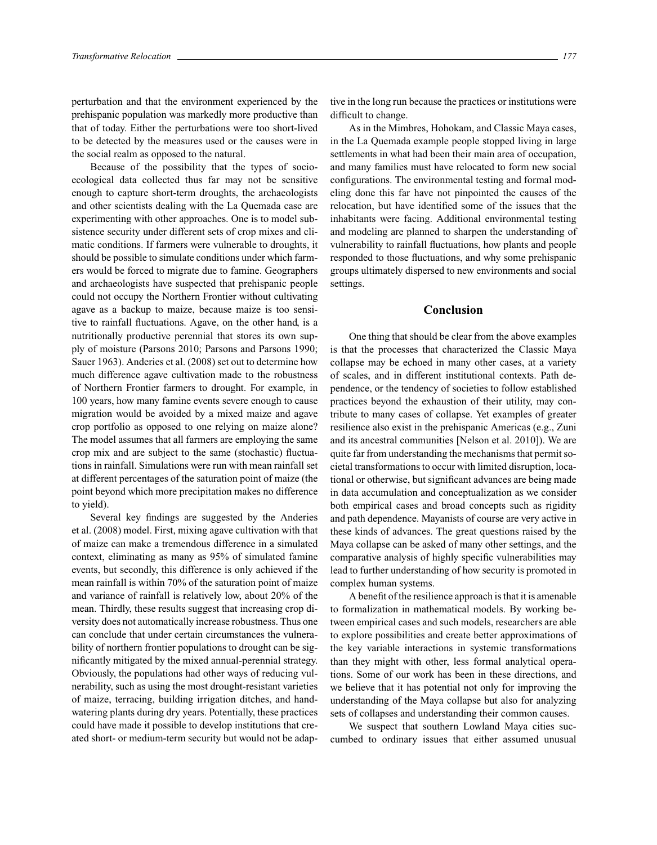perturbation and that the environment experienced by the prehispanic population was markedly more productive than that of today. Either the perturbations were too short-lived to be detected by the measures used or the causes were in the social realm as opposed to the natural.

Because of the possibility that the types of socioecological data collected thus far may not be sensitive enough to capture short-term droughts, the archaeologists and other scientists dealing with the La Quemada case are experimenting with other approaches. One is to model subsistence security under different sets of crop mixes and climatic conditions. If farmers were vulnerable to droughts, it should be possible to simulate conditions under which farmers would be forced to migrate due to famine. Geographers and archaeologists have suspected that prehispanic people could not occupy the Northern Frontier without cultivating agave as a backup to maize, because maize is too sensitive to rainfall fluctuations. Agave, on the other hand, is a nutritionally productive perennial that stores its own supply of moisture (Parsons 2010; Parsons and Parsons 1990; Sauer 1963). Anderies et al. (2008) set out to determine how much difference agave cultivation made to the robustness of Northern Frontier farmers to drought. For example, in 100 years, how many famine events severe enough to cause migration would be avoided by a mixed maize and agave crop portfolio as opposed to one relying on maize alone? The model assumes that all farmers are employing the same crop mix and are subject to the same (stochastic) fluctuations in rainfall. Simulations were run with mean rainfall set at different percentages of the saturation point of maize (the point beyond which more precipitation makes no difference to yield).

Several key findings are suggested by the Anderies et al. (2008) model. First, mixing agave cultivation with that of maize can make a tremendous difference in a simulated context, eliminating as many as 95% of simulated famine events, but secondly, this difference is only achieved if the mean rainfall is within 70% of the saturation point of maize and variance of rainfall is relatively low, about 20% of the mean. Thirdly, these results suggest that increasing crop diversity does not automatically increase robustness. Thus one can conclude that under certain circumstances the vulnerability of northern frontier populations to drought can be significantly mitigated by the mixed annual-perennial strategy. Obviously, the populations had other ways of reducing vulnerability, such as using the most drought-resistant varieties of maize, terracing, building irrigation ditches, and handwatering plants during dry years. Potentially, these practices could have made it possible to develop institutions that created short- or medium-term security but would not be adaptive in the long run because the practices or institutions were difficult to change.

As in the Mimbres, Hohokam, and Classic Maya cases, in the La Quemada example people stopped living in large settlements in what had been their main area of occupation, and many families must have relocated to form new social configurations. The environmental testing and formal modeling done this far have not pinpointed the causes of the relocation, but have identified some of the issues that the inhabitants were facing. Additional environmental testing and modeling are planned to sharpen the understanding of vulnerability to rainfall fluctuations, how plants and people responded to those fluctuations, and why some prehispanic groups ultimately dispersed to new environments and social settings.

#### **Conclusion**

One thing that should be clear from the above examples is that the processes that characterized the Classic Maya collapse may be echoed in many other cases, at a variety of scales, and in different institutional contexts. Path dependence, or the tendency of societies to follow established practices beyond the exhaustion of their utility, may contribute to many cases of collapse. Yet examples of greater resilience also exist in the prehispanic Americas (e.g., Zuni and its ancestral communities [Nelson et al. 2010]). We are quite far from understanding the mechanisms that permit societal transformations to occur with limited disruption, locational or otherwise, but significant advances are being made in data accumulation and conceptualization as we consider both empirical cases and broad concepts such as rigidity and path dependence. Mayanists of course are very active in these kinds of advances. The great questions raised by the Maya collapse can be asked of many other settings, and the comparative analysis of highly specific vulnerabilities may lead to further understanding of how security is promoted in complex human systems.

A benefit of the resilience approach is that it is amenable to formalization in mathematical models. By working between empirical cases and such models, researchers are able to explore possibilities and create better approximations of the key variable interactions in systemic transformations than they might with other, less formal analytical operations. Some of our work has been in these directions, and we believe that it has potential not only for improving the understanding of the Maya collapse but also for analyzing sets of collapses and understanding their common causes.

We suspect that southern Lowland Maya cities succumbed to ordinary issues that either assumed unusual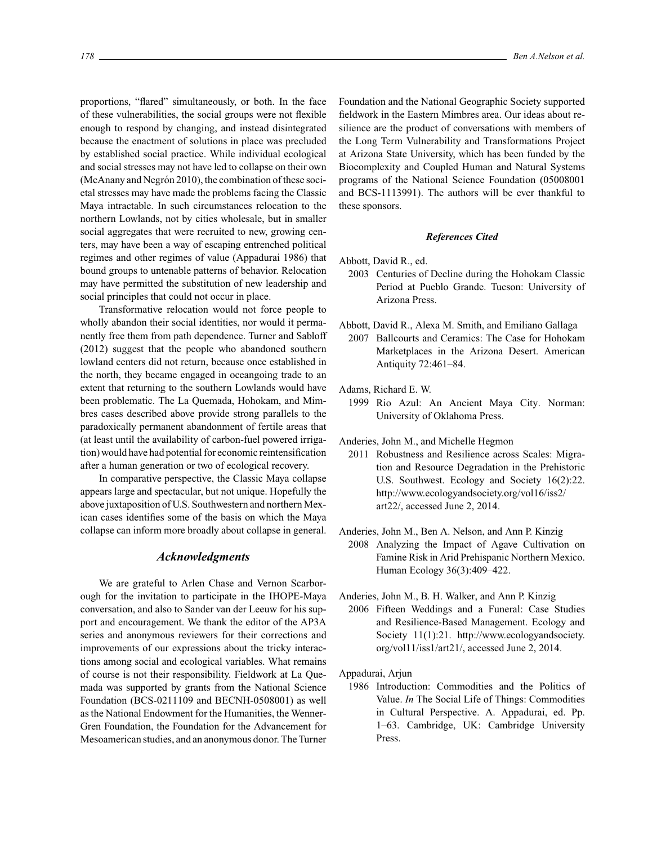proportions, "flared" simultaneously, or both. In the face of these vulnerabilities, the social groups were not flexible enough to respond by changing, and instead disintegrated because the enactment of solutions in place was precluded by established social practice. While individual ecological and social stresses may not have led to collapse on their own  $(McAnany and Negrón 2010)$ , the combination of these societal stresses may have made the problems facing the Classic Maya intractable. In such circumstances relocation to the northern Lowlands, not by cities wholesale, but in smaller social aggregates that were recruited to new, growing centers, may have been a way of escaping entrenched political regimes and other regimes of value (Appadurai 1986) that bound groups to untenable patterns of behavior. Relocation may have permitted the substitution of new leadership and social principles that could not occur in place.

Transformative relocation would not force people to wholly abandon their social identities, nor would it permanently free them from path dependence. Turner and Sabloff (2012) suggest that the people who abandoned southern lowland centers did not return, because once established in the north, they became engaged in oceangoing trade to an extent that returning to the southern Lowlands would have been problematic. The La Quemada, Hohokam, and Mimbres cases described above provide strong parallels to the paradoxically permanent abandonment of fertile areas that (at least until the availability of carbon-fuel powered irrigation) would have had potential for economic reintensification after a human generation or two of ecological recovery.

In comparative perspective, the Classic Maya collapse appears large and spectacular, but not unique. Hopefully the above juxtaposition of U.S. Southwestern and northern Mexican cases identifies some of the basis on which the Maya collapse can inform more broadly about collapse in general.

### *Acknowledgments*

We are grateful to Arlen Chase and Vernon Scarborough for the invitation to participate in the IHOPE-Maya conversation, and also to Sander van der Leeuw for his support and encouragement. We thank the editor of the AP3A series and anonymous reviewers for their corrections and improvements of our expressions about the tricky interactions among social and ecological variables. What remains of course is not their responsibility. Fieldwork at La Quemada was supported by grants from the National Science Foundation (BCS-0211109 and BECNH-0508001) as well as the National Endowment for the Humanities, the Wenner-Gren Foundation, the Foundation for the Advancement for Mesoamerican studies, and an anonymous donor. The Turner

Foundation and the National Geographic Society supported fieldwork in the Eastern Mimbres area. Our ideas about resilience are the product of conversations with members of the Long Term Vulnerability and Transformations Project at Arizona State University, which has been funded by the Biocomplexity and Coupled Human and Natural Systems programs of the National Science Foundation (05008001 and BCS-1113991). The authors will be ever thankful to these sponsors.

#### *References Cited*

Abbott, David R., ed.

2003 Centuries of Decline during the Hohokam Classic Period at Pueblo Grande. Tucson: University of Arizona Press.

Abbott, David R., Alexa M. Smith, and Emiliano Gallaga

2007 Ballcourts and Ceramics: The Case for Hohokam Marketplaces in the Arizona Desert. American Antiquity 72:461–84.

Adams, Richard E. W.

1999 Rio Azul: An Ancient Maya City. Norman: University of Oklahoma Press.

Anderies, John M., and Michelle Hegmon

2011 Robustness and Resilience across Scales: Migration and Resource Degradation in the Prehistoric U.S. Southwest. Ecology and Society 16(2):22. http://www.ecologyandsociety.org/vol16/iss2/ art22/, accessed June 2, 2014.

Anderies, John M., Ben A. Nelson, and Ann P. Kinzig

2008 Analyzing the Impact of Agave Cultivation on Famine Risk in Arid Prehispanic Northern Mexico. Human Ecology 36(3):409–422.

Anderies, John M., B. H. Walker, and Ann P. Kinzig 2006 Fifteen Weddings and a Funeral: Case Studies and Resilience-Based Management. Ecology and Society 11(1):21. http://www.ecologyandsociety. org/vol11/iss1/art21/, accessed June 2, 2014.

Appadurai, Arjun

1986 Introduction: Commodities and the Politics of Value. *In* The Social Life of Things: Commodities in Cultural Perspective. A. Appadurai, ed. Pp. 1–63. Cambridge, UK: Cambridge University Press.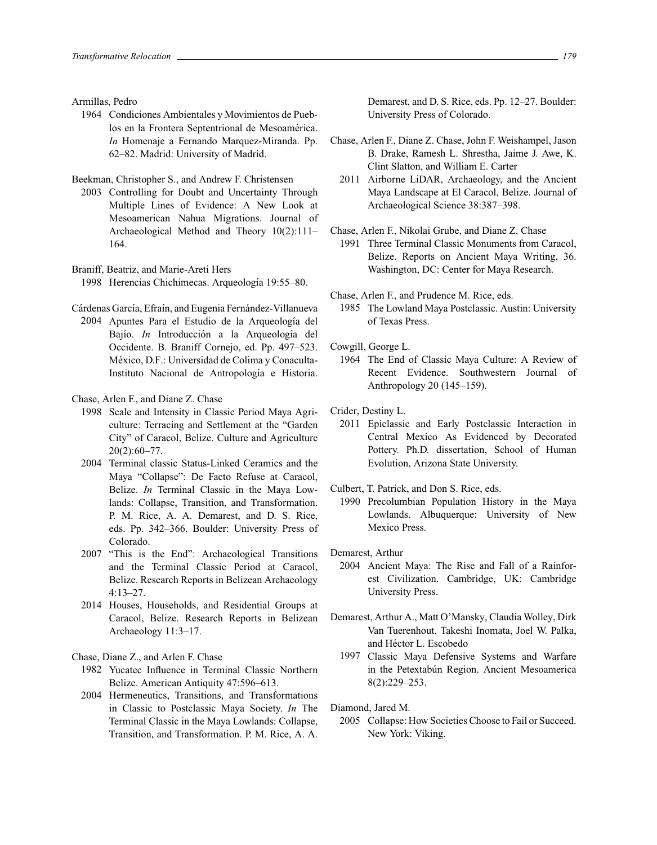Armillas, Pedro

1964 Condiciones Ambientales y Movimientos de Pueblos en la Frontera Septentrional de Mesoamérica. *In* Homenaje a Fernando Marquez-Miranda. Pp. 62–82. Madrid: University of Madrid.

Beekman, Christopher S., and Andrew F. Christensen

2003 Controlling for Doubt and Uncertainty Through Multiple Lines of Evidence: A New Look at Mesoamerican Nahua Migrations. Journal of Archaeological Method and Theory 10(2):111– 164.

Braniff, Beatriz, and Marie-Areti Hers 1998 Herencias Chichimecas. Arqueología 19:55–80.

Cárdenas García, Efraín, and Eugenia Fernández-Villanueva 2004 Apuntes Para el Estudio de la Arqueología del Bajío. *In* Introducción a la Arqueología del Occidente. B. Braniff Cornejo, ed. Pp. 497–523. México, D.F.: Universidad de Colima y Conaculta-Instituto Nacional de Antropología e Historia.

Chase, Arlen F., and Diane Z. Chase

- 1998 Scale and Intensity in Classic Period Maya Agriculture: Terracing and Settlement at the "Garden City" of Caracol, Belize. Culture and Agriculture 20(2):60–77.
- 2004 Terminal classic Status-Linked Ceramics and the Maya "Collapse": De Facto Refuse at Caracol, Belize. *In* Terminal Classic in the Maya Lowlands: Collapse, Transition, and Transformation. P. M. Rice, A. A. Demarest, and D. S. Rice, eds. Pp. 342–366. Boulder: University Press of Colorado.
- 2007 "This is the End": Archaeological Transitions and the Terminal Classic Period at Caracol, Belize. Research Reports in Belizean Archaeology 4:13–27.
- 2014 Houses, Households, and Residential Groups at Caracol, Belize. Research Reports in Belizean Archaeology 11:3–17.

Chase, Diane Z., and Arlen F. Chase

- 1982 Yucatec Influence in Terminal Classic Northern Belize. American Antiquity 47:596–613.
- 2004 Hermeneutics, Transitions, and Transformations in Classic to Postclassic Maya Society. *In* The Terminal Classic in the Maya Lowlands: Collapse, Transition, and Transformation. P. M. Rice, A. A.

Demarest, and D. S. Rice, eds. Pp. 12–27. Boulder: University Press of Colorado.

- Chase, Arlen F., Diane Z. Chase, John F. Weishampel, Jason B. Drake, Ramesh L. Shrestha, Jaime J. Awe, K. Clint Slatton, and William E. Carter
	- 2011 Airborne LiDAR, Archaeology, and the Ancient Maya Landscape at El Caracol, Belize. Journal of Archaeological Science 38:387–398.

Chase, Arlen F., Nikolai Grube, and Diane Z. Chase

1991 Three Terminal Classic Monuments from Caracol, Belize. Reports on Ancient Maya Writing, 36. Washington, DC: Center for Maya Research.

Chase, Arlen F., and Prudence M. Rice, eds.

1985 The Lowland Maya Postclassic. Austin: University of Texas Press.

Cowgill, George L.

1964 The End of Classic Maya Culture: A Review of Recent Evidence. Southwestern Journal of Anthropology 20 (145–159).

Crider, Destiny L.

2011 Epiclassic and Early Postclassic Interaction in Central Mexico As Evidenced by Decorated Pottery. Ph.D. dissertation, School of Human Evolution, Arizona State University.

Culbert, T. Patrick, and Don S. Rice, eds.

1990 Precolumbian Population History in the Maya Lowlands. Albuquerque: University of New Mexico Press.

Demarest, Arthur

- 2004 Ancient Maya: The Rise and Fall of a Rainforest Civilization. Cambridge, UK: Cambridge University Press.
- Demarest, Arthur A., Matt O'Mansky, Claudia Wolley, Dirk Van Tuerenhout, Takeshi Inomata, Joel W. Palka, and Héctor L. Escobedo
	- 1997 Classic Maya Defensive Systems and Warfare in the Petextabún Region. Ancient Mesoamerica 8(2):229–253.

Diamond, Jared M.

2005 Collapse: How Societies Choose to Fail or Succeed. New York: Viking.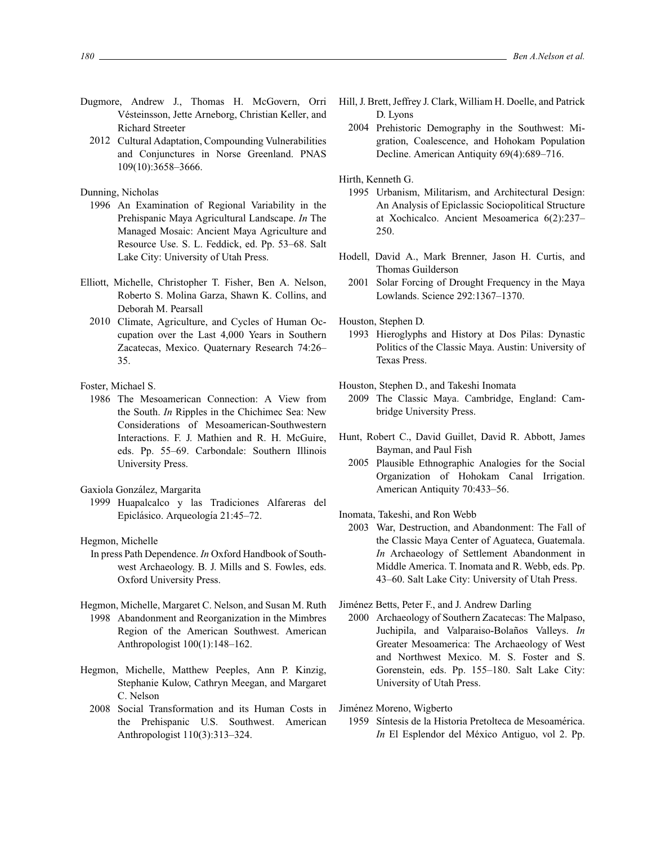- Dugmore, Andrew J., Thomas H. McGovern, Orri Vésteinsson, Jette Arneborg, Christian Keller, and Richard Streeter
	- 2012 Cultural Adaptation, Compounding Vulnerabilities and Conjunctures in Norse Greenland. PNAS 109(10):3658–3666.

Dunning, Nicholas

- 1996 An Examination of Regional Variability in the Prehispanic Maya Agricultural Landscape. *In* The Managed Mosaic: Ancient Maya Agriculture and Resource Use. S. L. Feddick, ed. Pp. 53–68. Salt Lake City: University of Utah Press.
- Elliott, Michelle, Christopher T. Fisher, Ben A. Nelson, Roberto S. Molina Garza, Shawn K. Collins, and Deborah M. Pearsall
	- 2010 Climate, Agriculture, and Cycles of Human Occupation over the Last 4,000 Years in Southern Zacatecas, Mexico. Quaternary Research 74:26– 35.

Foster, Michael S.

1986 The Mesoamerican Connection: A View from the South. *In* Ripples in the Chichimec Sea: New Considerations of Mesoamerican-Southwestern Interactions. F. J. Mathien and R. H. McGuire, eds. Pp. 55–69. Carbondale: Southern Illinois University Press.

Gaxiola Gonzalez, Margarita ´

1999 Huapalcalco y las Tradiciones Alfareras del Epiclásico. Arqueología 21:45–72.

Hegmon, Michelle

- In press Path Dependence. *In* Oxford Handbook of Southwest Archaeology. B. J. Mills and S. Fowles, eds. Oxford University Press.
- Hegmon, Michelle, Margaret C. Nelson, and Susan M. Ruth 1998 Abandonment and Reorganization in the Mimbres Region of the American Southwest. American Anthropologist 100(1):148–162.
- Hegmon, Michelle, Matthew Peeples, Ann P. Kinzig, Stephanie Kulow, Cathryn Meegan, and Margaret C. Nelson
	- 2008 Social Transformation and its Human Costs in the Prehispanic U.S. Southwest. American Anthropologist 110(3):313–324.
- Hill, J. Brett, Jeffrey J. Clark, William H. Doelle, and Patrick D. Lyons
	- 2004 Prehistoric Demography in the Southwest: Migration, Coalescence, and Hohokam Population Decline. American Antiquity 69(4):689–716.

Hirth, Kenneth G.

- 1995 Urbanism, Militarism, and Architectural Design: An Analysis of Epiclassic Sociopolitical Structure at Xochicalco. Ancient Mesoamerica 6(2):237– 250.
- Hodell, David A., Mark Brenner, Jason H. Curtis, and Thomas Guilderson
	- 2001 Solar Forcing of Drought Frequency in the Maya Lowlands. Science 292:1367–1370.

Houston, Stephen D.

1993 Hieroglyphs and History at Dos Pilas: Dynastic Politics of the Classic Maya. Austin: University of Texas Press.

Houston, Stephen D., and Takeshi Inomata

- 2009 The Classic Maya. Cambridge, England: Cambridge University Press.
- Hunt, Robert C., David Guillet, David R. Abbott, James Bayman, and Paul Fish
	- 2005 Plausible Ethnographic Analogies for the Social Organization of Hohokam Canal Irrigation. American Antiquity 70:433–56.

Inomata, Takeshi, and Ron Webb

2003 War, Destruction, and Abandonment: The Fall of the Classic Maya Center of Aguateca, Guatemala. *In* Archaeology of Settlement Abandonment in Middle America. T. Inomata and R. Webb, eds. Pp. 43–60. Salt Lake City: University of Utah Press.

Jimenez Betts, Peter F., and J. Andrew Darling ´

2000 Archaeology of Southern Zacatecas: The Malpaso, Juchipila, and Valparaiso-Bolaños Valleys. *In* Greater Mesoamerica: The Archaeology of West and Northwest Mexico. M. S. Foster and S. Gorenstein, eds. Pp. 155–180. Salt Lake City: University of Utah Press.

Jiménez Moreno, Wigberto

1959 Síntesis de la Historia Pretolteca de Mesoamérica. *In* El Esplendor del México Antiguo, vol 2. Pp.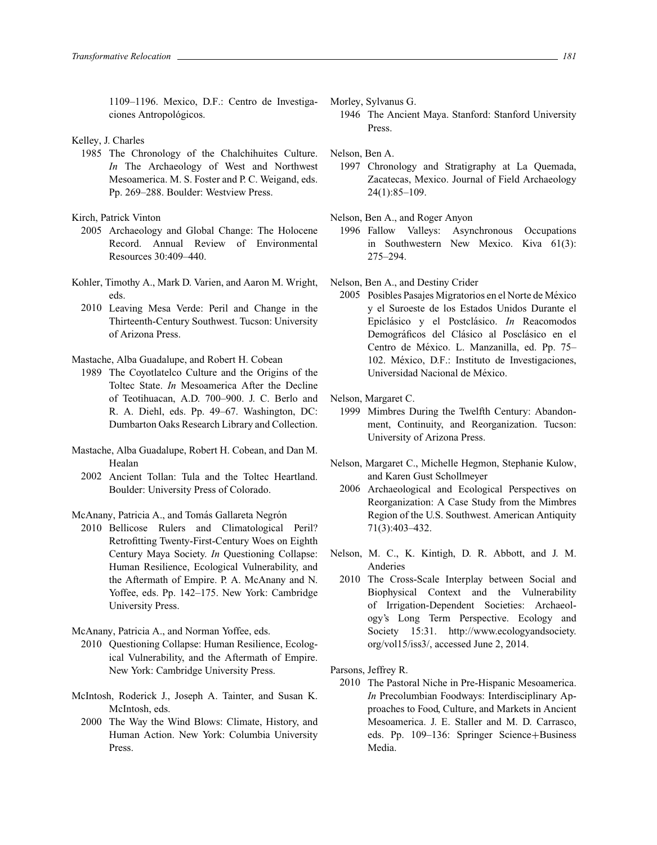1109–1196. Mexico, D.F.: Centro de Investigaciones Antropológicos.

- Kelley, J. Charles
	- 1985 The Chronology of the Chalchihuites Culture. *In* The Archaeology of West and Northwest Mesoamerica. M. S. Foster and P. C. Weigand, eds. Pp. 269–288. Boulder: Westview Press.

#### Kirch, Patrick Vinton

- 2005 Archaeology and Global Change: The Holocene Record. Annual Review of Environmental Resources 30:409–440.
- Kohler, Timothy A., Mark D. Varien, and Aaron M. Wright, eds.
	- 2010 Leaving Mesa Verde: Peril and Change in the Thirteenth-Century Southwest. Tucson: University of Arizona Press.

Mastache, Alba Guadalupe, and Robert H. Cobean

- 1989 The Coyotlatelco Culture and the Origins of the Toltec State. *In* Mesoamerica After the Decline of Teotihuacan, A.D. 700–900. J. C. Berlo and R. A. Diehl, eds. Pp. 49–67. Washington, DC: Dumbarton Oaks Research Library and Collection.
- Mastache, Alba Guadalupe, Robert H. Cobean, and Dan M. Healan
- 2002 Ancient Tollan: Tula and the Toltec Heartland. Boulder: University Press of Colorado.

McAnany, Patricia A., and Tomás Gallareta Negrón

2010 Bellicose Rulers and Climatological Peril? Retrofitting Twenty-First-Century Woes on Eighth Century Maya Society. *In* Questioning Collapse: Human Resilience, Ecological Vulnerability, and the Aftermath of Empire. P. A. McAnany and N. Yoffee, eds. Pp. 142–175. New York: Cambridge University Press.

McAnany, Patricia A., and Norman Yoffee, eds.

- 2010 Questioning Collapse: Human Resilience, Ecological Vulnerability, and the Aftermath of Empire. New York: Cambridge University Press.
- McIntosh, Roderick J., Joseph A. Tainter, and Susan K. McIntosh, eds.
	- 2000 The Way the Wind Blows: Climate, History, and Human Action. New York: Columbia University Press.

Morley, Sylvanus G.

- 1946 The Ancient Maya. Stanford: Stanford University Press.
- Nelson, Ben A.
	- 1997 Chronology and Stratigraphy at La Quemada, Zacatecas, Mexico. Journal of Field Archaeology 24(1):85–109.
- Nelson, Ben A., and Roger Anyon
	- 1996 Fallow Valleys: Asynchronous Occupations in Southwestern New Mexico. Kiva 61(3): 275–294.
- Nelson, Ben A., and Destiny Crider
	- 2005 Posibles Pasajes Migratorios en el Norte de México y el Suroeste de los Estados Unidos Durante el Epiclásico y el Postclásico. In Reacomodos Demográficos del Clásico al Posclásico en el Centro de México. L. Manzanilla, ed. Pp. 75-102. México, D.F.: Instituto de Investigaciones, Universidad Nacional de México.

Nelson, Margaret C.

- 1999 Mimbres During the Twelfth Century: Abandonment, Continuity, and Reorganization. Tucson: University of Arizona Press.
- Nelson, Margaret C., Michelle Hegmon, Stephanie Kulow, and Karen Gust Schollmeyer
	- 2006 Archaeological and Ecological Perspectives on Reorganization: A Case Study from the Mimbres Region of the U.S. Southwest. American Antiquity 71(3):403–432.
- Nelson, M. C., K. Kintigh, D. R. Abbott, and J. M. Anderies
	- 2010 The Cross-Scale Interplay between Social and Biophysical Context and the Vulnerability of Irrigation-Dependent Societies: Archaeology's Long Term Perspective. Ecology and Society 15:31. http://www.ecologyandsociety. org/vol15/iss3/, accessed June 2, 2014.

Parsons, Jeffrey R.

2010 The Pastoral Niche in Pre-Hispanic Mesoamerica. *In* Precolumbian Foodways: Interdisciplinary Approaches to Food, Culture, and Markets in Ancient Mesoamerica. J. E. Staller and M. D. Carrasco, eds. Pp. 109–136: Springer Science+Business Media.